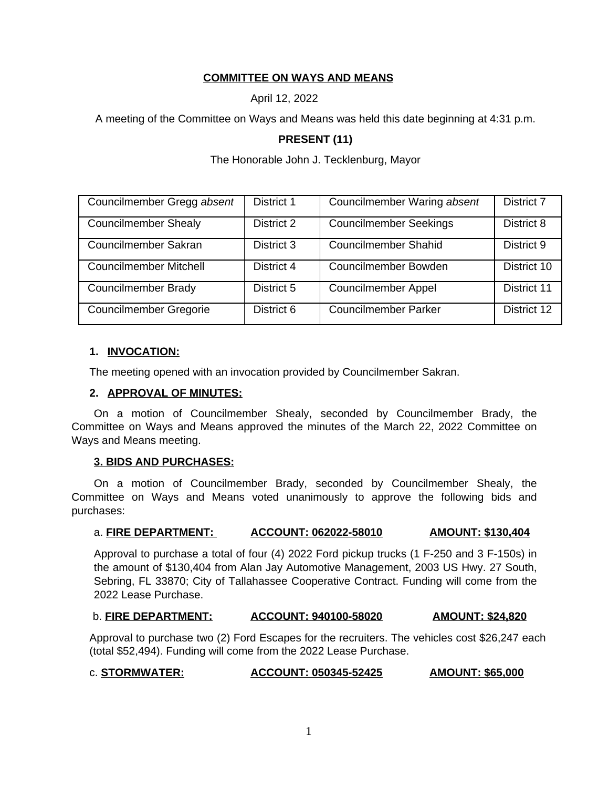# **COMMITTEE ON WAYS AND MEANS**

April 12, 2022

A meeting of the Committee on Ways and Means was held this date beginning at 4:31 p.m.

# **PRESENT (11)**

The Honorable John J. Tecklenburg, Mayor

| Councilmember Gregg absent    | District 1 | Councilmember Waring absent   | District 7  |
|-------------------------------|------------|-------------------------------|-------------|
| <b>Councilmember Shealy</b>   | District 2 | <b>Councilmember Seekings</b> | District 8  |
| Councilmember Sakran          | District 3 | <b>Councilmember Shahid</b>   | District 9  |
| <b>Councilmember Mitchell</b> | District 4 | Councilmember Bowden          | District 10 |
| <b>Councilmember Brady</b>    | District 5 | <b>Councilmember Appel</b>    | District 11 |
| <b>Councilmember Gregorie</b> | District 6 | <b>Councilmember Parker</b>   | District 12 |

## **1. INVOCATION:**

The meeting opened with an invocation provided by Councilmember Sakran.

#### **2. APPROVAL OF MINUTES:**

On a motion of Councilmember Shealy, seconded by Councilmember Brady, the Committee on Ways and Means approved the minutes of the March 22, 2022 Committee on Ways and Means meeting.

## **3. BIDS AND PURCHASES:**

On a motion of Councilmember Brady, seconded by Councilmember Shealy, the Committee on Ways and Means voted unanimously to approve the following bids and purchases:

#### a. **FIRE DEPARTMENT: ACCOUNT: 062022-58010 AMOUNT: \$130,404**

Approval to purchase a total of four (4) 2022 Ford pickup trucks (1 F-250 and 3 F-150s) in the amount of \$130,404 from Alan Jay Automotive Management, 2003 US Hwy. 27 South, Sebring, FL 33870; City of Tallahassee Cooperative Contract. Funding will come from the 2022 Lease Purchase.

## b. **FIRE DEPARTMENT: ACCOUNT: 940100-58020 AMOUNT: \$24,820**

Approval to purchase two (2) Ford Escapes for the recruiters. The vehicles cost \$26,247 each (total \$52,494). Funding will come from the 2022 Lease Purchase.

## c. **STORMWATER: ACCOUNT: 050345-52425 AMOUNT: \$65,000**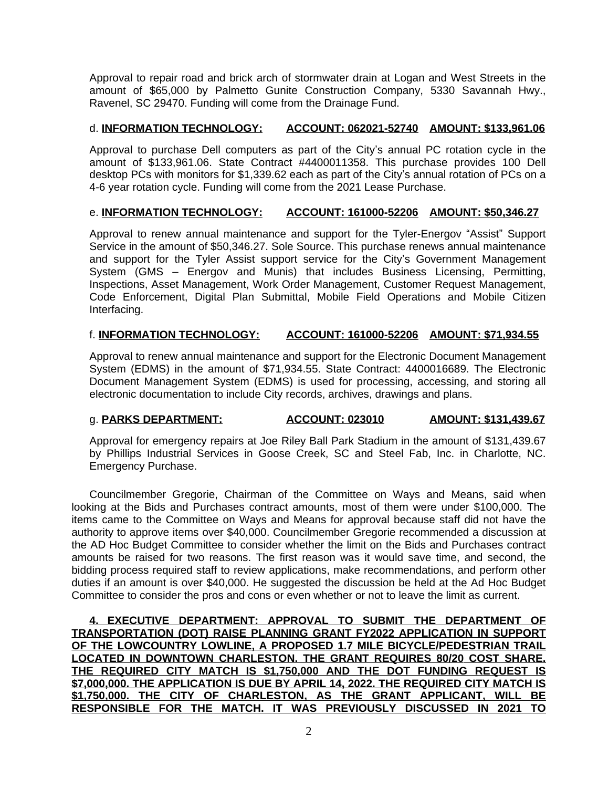Approval to repair road and brick arch of stormwater drain at Logan and West Streets in the amount of \$65,000 by Palmetto Gunite Construction Company, 5330 Savannah Hwy., Ravenel, SC 29470. Funding will come from the Drainage Fund.

## d. **INFORMATION TECHNOLOGY: ACCOUNT: 062021-52740 AMOUNT: \$133,961.06**

Approval to purchase Dell computers as part of the City's annual PC rotation cycle in the amount of \$133,961.06. State Contract #4400011358. This purchase provides 100 Dell desktop PCs with monitors for \$1,339.62 each as part of the City's annual rotation of PCs on a 4-6 year rotation cycle. Funding will come from the 2021 Lease Purchase.

#### e. **INFORMATION TECHNOLOGY: ACCOUNT: 161000-52206 AMOUNT: \$50,346.27**

Approval to renew annual maintenance and support for the Tyler-Energov "Assist" Support Service in the amount of \$50,346.27. Sole Source. This purchase renews annual maintenance and support for the Tyler Assist support service for the City's Government Management System (GMS – Energov and Munis) that includes Business Licensing, Permitting, Inspections, Asset Management, Work Order Management, Customer Request Management, Code Enforcement, Digital Plan Submittal, Mobile Field Operations and Mobile Citizen Interfacing.

## f. **INFORMATION TECHNOLOGY: ACCOUNT: 161000-52206 AMOUNT: \$71,934.55**

Approval to renew annual maintenance and support for the Electronic Document Management System (EDMS) in the amount of \$71,934.55. State Contract: 4400016689. The Electronic Document Management System (EDMS) is used for processing, accessing, and storing all electronic documentation to include City records, archives, drawings and plans.

## g. **PARKS DEPARTMENT: ACCOUNT: 023010 AMOUNT: \$131,439.67**

Approval for emergency repairs at Joe Riley Ball Park Stadium in the amount of \$131,439.67 by Phillips Industrial Services in Goose Creek, SC and Steel Fab, Inc. in Charlotte, NC. Emergency Purchase.

Councilmember Gregorie, Chairman of the Committee on Ways and Means, said when looking at the Bids and Purchases contract amounts, most of them were under \$100,000. The items came to the Committee on Ways and Means for approval because staff did not have the authority to approve items over \$40,000. Councilmember Gregorie recommended a discussion at the AD Hoc Budget Committee to consider whether the limit on the Bids and Purchases contract amounts be raised for two reasons. The first reason was it would save time, and second, the bidding process required staff to review applications, make recommendations, and perform other duties if an amount is over \$40,000. He suggested the discussion be held at the Ad Hoc Budget Committee to consider the pros and cons or even whether or not to leave the limit as current.

**4. EXECUTIVE DEPARTMENT: APPROVAL TO SUBMIT THE DEPARTMENT OF TRANSPORTATION (DOT) RAISE PLANNING GRANT FY2022 APPLICATION IN SUPPORT OF THE LOWCOUNTRY LOWLINE, A PROPOSED 1.7 MILE BICYCLE/PEDESTRIAN TRAIL LOCATED IN DOWNTOWN CHARLESTON. THE GRANT REQUIRES 80/20 COST SHARE. THE REQUIRED CITY MATCH IS \$1,750,000 AND THE DOT FUNDING REQUEST IS \$7,000,000. THE APPLICATION IS DUE BY APRIL 14, 2022. THE REQUIRED CITY MATCH IS \$1,750,000. THE CITY OF CHARLESTON, AS THE GRANT APPLICANT, WILL BE RESPONSIBLE FOR THE MATCH. IT WAS PREVIOUSLY DISCUSSED IN 2021 TO**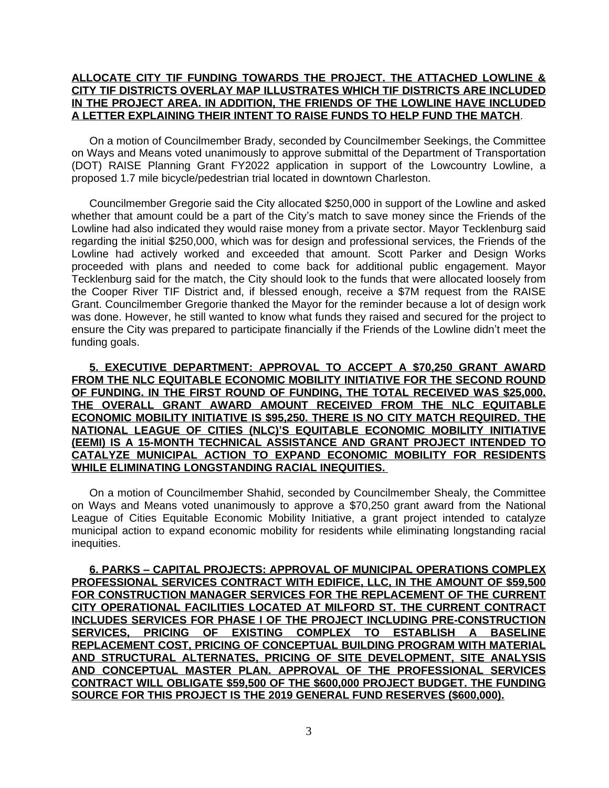#### **ALLOCATE CITY TIF FUNDING TOWARDS THE PROJECT. THE ATTACHED LOWLINE & CITY TIF DISTRICTS OVERLAY MAP ILLUSTRATES WHICH TIF DISTRICTS ARE INCLUDED IN THE PROJECT AREA. IN ADDITION, THE FRIENDS OF THE LOWLINE HAVE INCLUDED A LETTER EXPLAINING THEIR INTENT TO RAISE FUNDS TO HELP FUND THE MATCH**.

On a motion of Councilmember Brady, seconded by Councilmember Seekings, the Committee on Ways and Means voted unanimously to approve submittal of the Department of Transportation (DOT) RAISE Planning Grant FY2022 application in support of the Lowcountry Lowline, a proposed 1.7 mile bicycle/pedestrian trial located in downtown Charleston.

Councilmember Gregorie said the City allocated \$250,000 in support of the Lowline and asked whether that amount could be a part of the City's match to save money since the Friends of the Lowline had also indicated they would raise money from a private sector. Mayor Tecklenburg said regarding the initial \$250,000, which was for design and professional services, the Friends of the Lowline had actively worked and exceeded that amount. Scott Parker and Design Works proceeded with plans and needed to come back for additional public engagement. Mayor Tecklenburg said for the match, the City should look to the funds that were allocated loosely from the Cooper River TIF District and, if blessed enough, receive a \$7M request from the RAISE Grant. Councilmember Gregorie thanked the Mayor for the reminder because a lot of design work was done. However, he still wanted to know what funds they raised and secured for the project to ensure the City was prepared to participate financially if the Friends of the Lowline didn't meet the funding goals.

**5. EXECUTIVE DEPARTMENT: APPROVAL TO ACCEPT A \$70,250 GRANT AWARD FROM THE NLC EQUITABLE ECONOMIC MOBILITY INITIATIVE FOR THE SECOND ROUND OF FUNDING. IN THE FIRST ROUND OF FUNDING, THE TOTAL RECEIVED WAS \$25,000. THE OVERALL GRANT AWARD AMOUNT RECEIVED FROM THE NLC EQUITABLE ECONOMIC MOBILITY INITIATIVE IS \$95,250. THERE IS NO CITY MATCH REQUIRED. THE NATIONAL LEAGUE OF CITIES (NLC)'S EQUITABLE ECONOMIC MOBILITY INITIATIVE (EEMI) IS A 15-MONTH TECHNICAL ASSISTANCE AND GRANT PROJECT INTENDED TO CATALYZE MUNICIPAL ACTION TO EXPAND ECONOMIC MOBILITY FOR RESIDENTS WHILE ELIMINATING LONGSTANDING RACIAL INEQUITIES.** 

On a motion of Councilmember Shahid, seconded by Councilmember Shealy, the Committee on Ways and Means voted unanimously to approve a \$70,250 grant award from the National League of Cities Equitable Economic Mobility Initiative, a grant project intended to catalyze municipal action to expand economic mobility for residents while eliminating longstanding racial inequities.

**6. PARKS – CAPITAL PROJECTS: APPROVAL OF MUNICIPAL OPERATIONS COMPLEX PROFESSIONAL SERVICES CONTRACT WITH EDIFICE, LLC, IN THE AMOUNT OF \$59,500 FOR CONSTRUCTION MANAGER SERVICES FOR THE REPLACEMENT OF THE CURRENT CITY OPERATIONAL FACILITIES LOCATED AT MILFORD ST. THE CURRENT CONTRACT INCLUDES SERVICES FOR PHASE I OF THE PROJECT INCLUDING PRE-CONSTRUCTION SERVICES, PRICING OF EXISTING COMPLEX TO ESTABLISH A BASELINE REPLACEMENT COST, PRICING OF CONCEPTUAL BUILDING PROGRAM WITH MATERIAL AND STRUCTURAL ALTERNATES, PRICING OF SITE DEVELOPMENT, SITE ANALYSIS AND CONCEPTUAL MASTER PLAN. APPROVAL OF THE PROFESSIONAL SERVICES CONTRACT WILL OBLIGATE \$59,500 OF THE \$600,000 PROJECT BUDGET. THE FUNDING SOURCE FOR THIS PROJECT IS THE 2019 GENERAL FUND RESERVES (\$600,000).**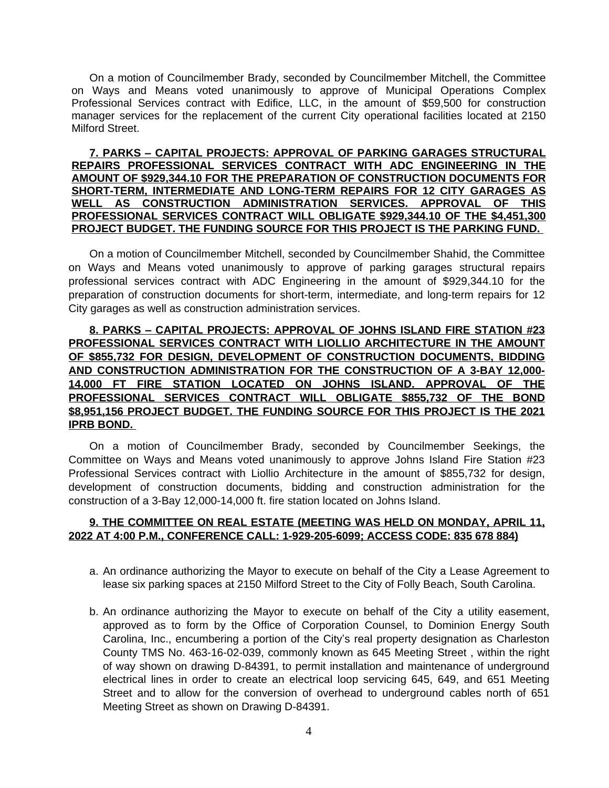On a motion of Councilmember Brady, seconded by Councilmember Mitchell, the Committee on Ways and Means voted unanimously to approve of Municipal Operations Complex Professional Services contract with Edifice, LLC, in the amount of \$59,500 for construction manager services for the replacement of the current City operational facilities located at 2150 Milford Street.

#### **7. PARKS – CAPITAL PROJECTS: APPROVAL OF PARKING GARAGES STRUCTURAL REPAIRS PROFESSIONAL SERVICES CONTRACT WITH ADC ENGINEERING IN THE AMOUNT OF \$929,344.10 FOR THE PREPARATION OF CONSTRUCTION DOCUMENTS FOR SHORT-TERM, INTERMEDIATE AND LONG-TERM REPAIRS FOR 12 CITY GARAGES AS WELL AS CONSTRUCTION ADMINISTRATION SERVICES. APPROVAL OF THIS PROFESSIONAL SERVICES CONTRACT WILL OBLIGATE \$929,344.10 OF THE \$4,451,300 PROJECT BUDGET. THE FUNDING SOURCE FOR THIS PROJECT IS THE PARKING FUND.**

On a motion of Councilmember Mitchell, seconded by Councilmember Shahid, the Committee on Ways and Means voted unanimously to approve of parking garages structural repairs professional services contract with ADC Engineering in the amount of \$929,344.10 for the preparation of construction documents for short-term, intermediate, and long-term repairs for 12 City garages as well as construction administration services.

# **8. PARKS – CAPITAL PROJECTS: APPROVAL OF JOHNS ISLAND FIRE STATION #23 PROFESSIONAL SERVICES CONTRACT WITH LIOLLIO ARCHITECTURE IN THE AMOUNT OF \$855,732 FOR DESIGN, DEVELOPMENT OF CONSTRUCTION DOCUMENTS, BIDDING AND CONSTRUCTION ADMINISTRATION FOR THE CONSTRUCTION OF A 3-BAY 12,000- 14,000 FT FIRE STATION LOCATED ON JOHNS ISLAND. APPROVAL OF THE PROFESSIONAL SERVICES CONTRACT WILL OBLIGATE \$855,732 OF THE BOND \$8,951,156 PROJECT BUDGET. THE FUNDING SOURCE FOR THIS PROJECT IS THE 2021 IPRB BOND.**

On a motion of Councilmember Brady, seconded by Councilmember Seekings, the Committee on Ways and Means voted unanimously to approve Johns Island Fire Station #23 Professional Services contract with Liollio Architecture in the amount of \$855,732 for design, development of construction documents, bidding and construction administration for the construction of a 3-Bay 12,000-14,000 ft. fire station located on Johns Island.

## **9. THE COMMITTEE ON REAL ESTATE (MEETING WAS HELD ON MONDAY, APRIL 11, 2022 AT 4:00 P.M., CONFERENCE CALL: 1-929-205-6099; ACCESS CODE: 835 678 884)**

- a. An ordinance authorizing the Mayor to execute on behalf of the City a Lease Agreement to lease six parking spaces at 2150 Milford Street to the City of Folly Beach, South Carolina.
- b. An ordinance authorizing the Mayor to execute on behalf of the City a utility easement, approved as to form by the Office of Corporation Counsel, to Dominion Energy South Carolina, Inc., encumbering a portion of the City's real property designation as Charleston County TMS No. 463-16-02-039, commonly known as 645 Meeting Street , within the right of way shown on drawing D-84391, to permit installation and maintenance of underground electrical lines in order to create an electrical loop servicing 645, 649, and 651 Meeting Street and to allow for the conversion of overhead to underground cables north of 651 Meeting Street as shown on Drawing D-84391.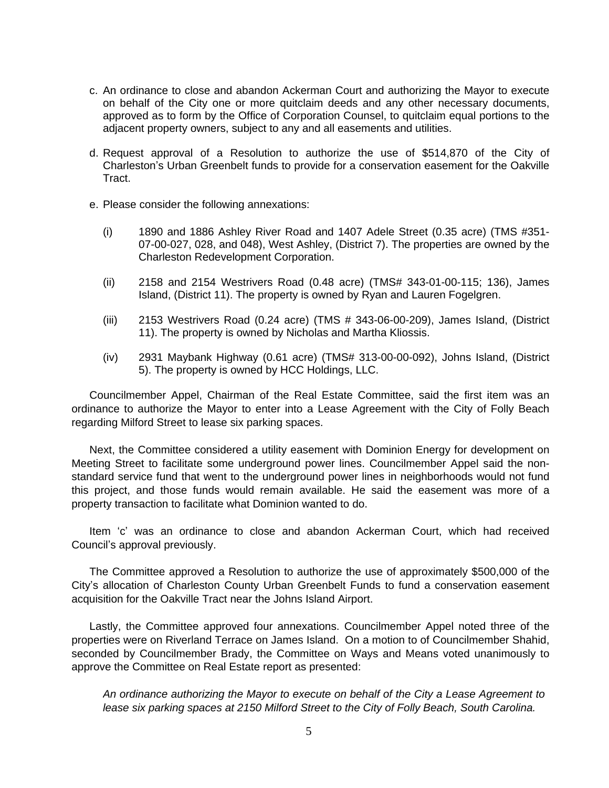- c. An ordinance to close and abandon Ackerman Court and authorizing the Mayor to execute on behalf of the City one or more quitclaim deeds and any other necessary documents, approved as to form by the Office of Corporation Counsel, to quitclaim equal portions to the adjacent property owners, subject to any and all easements and utilities.
- d. Request approval of a Resolution to authorize the use of \$514,870 of the City of Charleston's Urban Greenbelt funds to provide for a conservation easement for the Oakville Tract.
- e. Please consider the following annexations:
	- (i) 1890 and 1886 Ashley River Road and 1407 Adele Street (0.35 acre) (TMS #351- 07-00-027, 028, and 048), West Ashley, (District 7). The properties are owned by the Charleston Redevelopment Corporation.
	- (ii) 2158 and 2154 Westrivers Road (0.48 acre) (TMS# 343-01-00-115; 136), James Island, (District 11). The property is owned by Ryan and Lauren Fogelgren.
	- (iii) 2153 Westrivers Road (0.24 acre) (TMS # 343-06-00-209), James Island, (District 11). The property is owned by Nicholas and Martha Kliossis.
	- (iv) 2931 Maybank Highway (0.61 acre) (TMS# 313-00-00-092), Johns Island, (District 5). The property is owned by HCC Holdings, LLC.

Councilmember Appel, Chairman of the Real Estate Committee, said the first item was an ordinance to authorize the Mayor to enter into a Lease Agreement with the City of Folly Beach regarding Milford Street to lease six parking spaces.

Next, the Committee considered a utility easement with Dominion Energy for development on Meeting Street to facilitate some underground power lines. Councilmember Appel said the nonstandard service fund that went to the underground power lines in neighborhoods would not fund this project, and those funds would remain available. He said the easement was more of a property transaction to facilitate what Dominion wanted to do.

Item 'c' was an ordinance to close and abandon Ackerman Court, which had received Council's approval previously.

The Committee approved a Resolution to authorize the use of approximately \$500,000 of the City's allocation of Charleston County Urban Greenbelt Funds to fund a conservation easement acquisition for the Oakville Tract near the Johns Island Airport.

Lastly, the Committee approved four annexations. Councilmember Appel noted three of the properties were on Riverland Terrace on James Island. On a motion to of Councilmember Shahid, seconded by Councilmember Brady, the Committee on Ways and Means voted unanimously to approve the Committee on Real Estate report as presented:

*An ordinance authorizing the Mayor to execute on behalf of the City a Lease Agreement to lease six parking spaces at 2150 Milford Street to the City of Folly Beach, South Carolina.*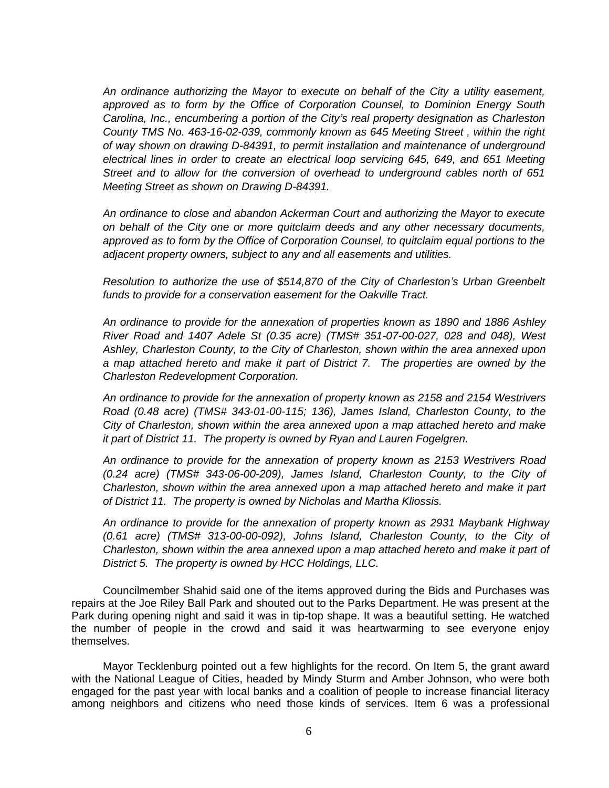*An ordinance authorizing the Mayor to execute on behalf of the City a utility easement, approved as to form by the Office of Corporation Counsel, to Dominion Energy South Carolina, Inc., encumbering a portion of the City's real property designation as Charleston County TMS No. 463-16-02-039, commonly known as 645 Meeting Street , within the right of way shown on drawing D-84391, to permit installation and maintenance of underground electrical lines in order to create an electrical loop servicing 645, 649, and 651 Meeting Street and to allow for the conversion of overhead to underground cables north of 651 Meeting Street as shown on Drawing D-84391.*

*An ordinance to close and abandon Ackerman Court and authorizing the Mayor to execute on behalf of the City one or more quitclaim deeds and any other necessary documents, approved as to form by the Office of Corporation Counsel, to quitclaim equal portions to the adjacent property owners, subject to any and all easements and utilities.*

*Resolution to authorize the use of \$514,870 of the City of Charleston's Urban Greenbelt funds to provide for a conservation easement for the Oakville Tract.*

*An ordinance to provide for the annexation of properties known as 1890 and 1886 Ashley River Road and 1407 Adele St (0.35 acre) (TMS# 351-07-00-027, 028 and 048), West Ashley, Charleston County, to the City of Charleston, shown within the area annexed upon a map attached hereto and make it part of District 7. The properties are owned by the Charleston Redevelopment Corporation.*

*An ordinance to provide for the annexation of property known as 2158 and 2154 Westrivers Road (0.48 acre) (TMS# 343-01-00-115; 136), James Island, Charleston County, to the City of Charleston, shown within the area annexed upon a map attached hereto and make it part of District 11. The property is owned by Ryan and Lauren Fogelgren.*

*An ordinance to provide for the annexation of property known as 2153 Westrivers Road (0.24 acre) (TMS# 343-06-00-209), James Island, Charleston County, to the City of Charleston, shown within the area annexed upon a map attached hereto and make it part of District 11. The property is owned by Nicholas and Martha Kliossis.*

*An ordinance to provide for the annexation of property known as 2931 Maybank Highway (0.61 acre) (TMS# 313-00-00-092), Johns Island, Charleston County, to the City of Charleston, shown within the area annexed upon a map attached hereto and make it part of District 5. The property is owned by HCC Holdings, LLC.*

Councilmember Shahid said one of the items approved during the Bids and Purchases was repairs at the Joe Riley Ball Park and shouted out to the Parks Department. He was present at the Park during opening night and said it was in tip-top shape. It was a beautiful setting. He watched the number of people in the crowd and said it was heartwarming to see everyone enjoy themselves.

Mayor Tecklenburg pointed out a few highlights for the record. On Item 5, the grant award with the National League of Cities, headed by Mindy Sturm and Amber Johnson, who were both engaged for the past year with local banks and a coalition of people to increase financial literacy among neighbors and citizens who need those kinds of services. Item 6 was a professional